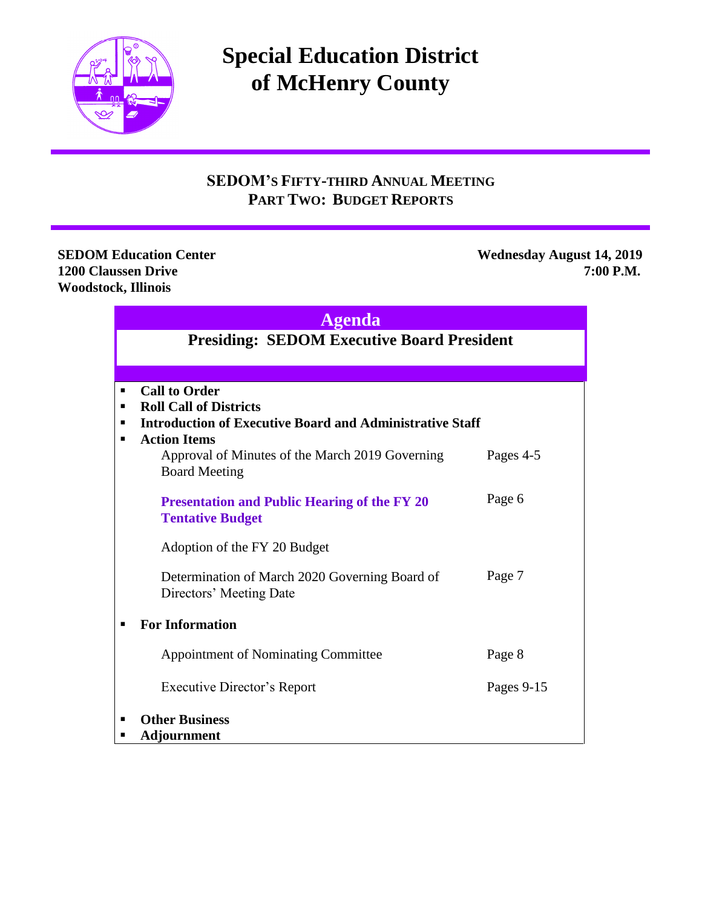

# **Special Education District of McHenry County**

# **SEDOM'S FIFTY-THIRD ANNUAL MEETING PART TWO: BUDGET REPORTS**

**Woodstock, Illinois** 

**SEDOM Education Center Wednesday August 14, 2019 1200 Claussen Drive 7:00 P.M.**

| ۳.<br>в |  |
|---------|--|
|         |  |
|         |  |

# **Presiding: SEDOM Executive Board President**

|   | <b>Call to Order</b>                                                           |            |  |  |  |
|---|--------------------------------------------------------------------------------|------------|--|--|--|
| ٠ | <b>Roll Call of Districts</b>                                                  |            |  |  |  |
| ٠ | <b>Introduction of Executive Board and Administrative Staff</b>                |            |  |  |  |
|   | <b>Action Items</b>                                                            |            |  |  |  |
|   | Approval of Minutes of the March 2019 Governing<br><b>Board Meeting</b>        | Pages 4-5  |  |  |  |
|   | <b>Presentation and Public Hearing of the FY 20</b><br><b>Tentative Budget</b> | Page 6     |  |  |  |
|   | Adoption of the FY 20 Budget                                                   |            |  |  |  |
|   | Determination of March 2020 Governing Board of<br>Directors' Meeting Date      | Page 7     |  |  |  |
|   | <b>For Information</b>                                                         |            |  |  |  |
|   | <b>Appointment of Nominating Committee</b>                                     | Page 8     |  |  |  |
|   | Executive Director's Report                                                    | Pages 9-15 |  |  |  |
| п | <b>Other Business</b>                                                          |            |  |  |  |
|   | <b>Adjournment</b>                                                             |            |  |  |  |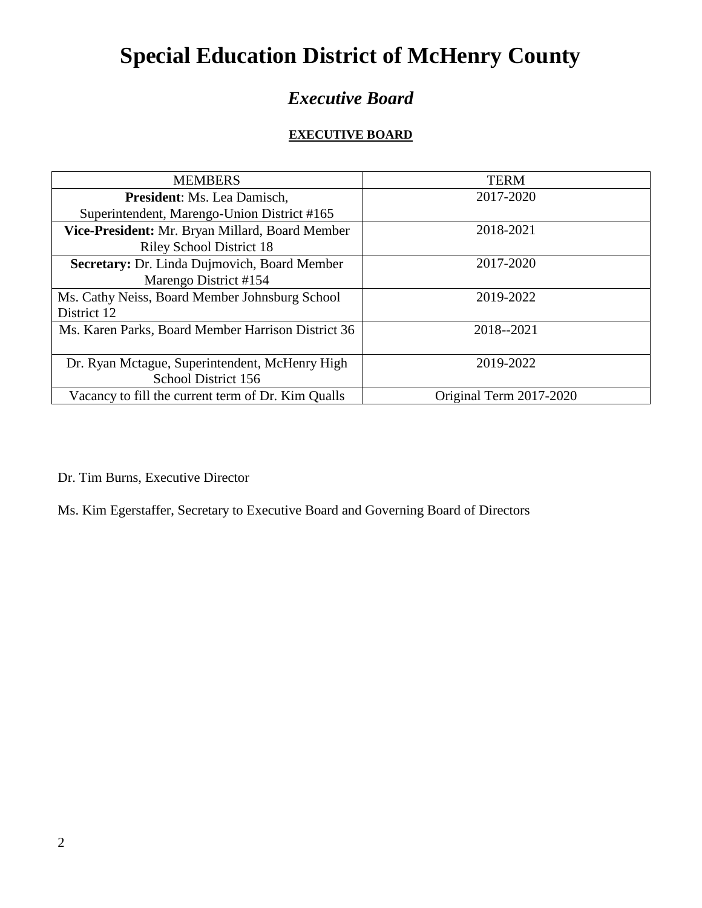# **Special Education District of McHenry County**

# *Executive Board*

#### **EXECUTIVE BOARD**

| <b>MEMBERS</b>                                     | <b>TERM</b>             |
|----------------------------------------------------|-------------------------|
| President: Ms. Lea Damisch,                        | 2017-2020               |
| Superintendent, Marengo-Union District #165        |                         |
| Vice-President: Mr. Bryan Millard, Board Member    | 2018-2021               |
| <b>Riley School District 18</b>                    |                         |
| Secretary: Dr. Linda Dujmovich, Board Member       | 2017-2020               |
| Marengo District #154                              |                         |
| Ms. Cathy Neiss, Board Member Johnsburg School     | 2019-2022               |
| District 12                                        |                         |
| Ms. Karen Parks, Board Member Harrison District 36 | 2018--2021              |
|                                                    |                         |
| Dr. Ryan Mctague, Superintendent, McHenry High     | 2019-2022               |
| School District 156                                |                         |
| Vacancy to fill the current term of Dr. Kim Qualls | Original Term 2017-2020 |

Dr. Tim Burns, Executive Director

Ms. Kim Egerstaffer, Secretary to Executive Board and Governing Board of Directors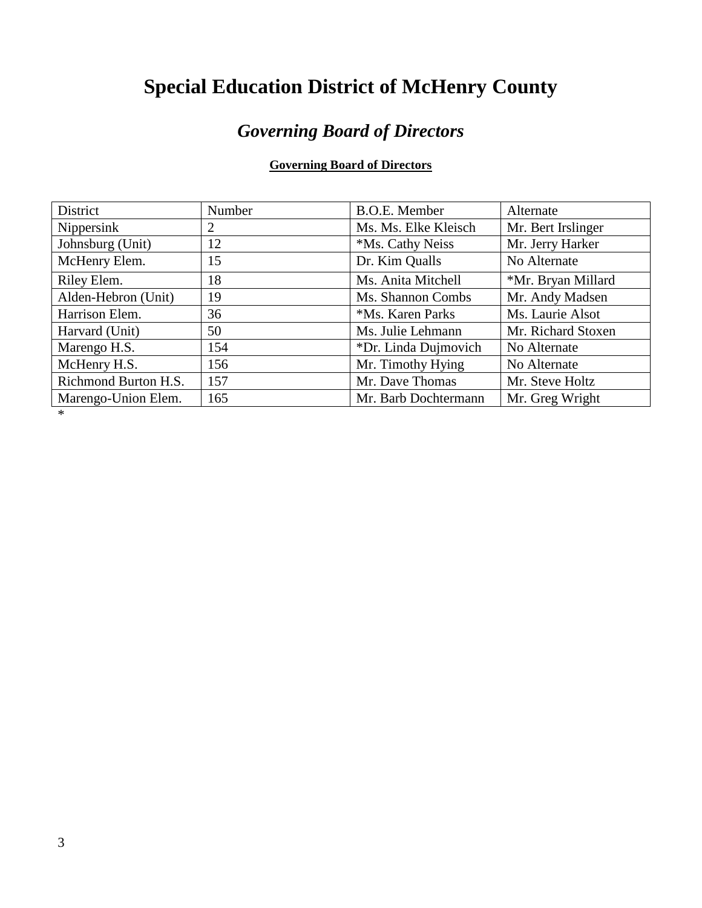# **Special Education District of McHenry County**

# *Governing Board of Directors*

#### **Governing Board of Directors**

| District             | Number | <b>B.O.E.</b> Member | Alternate          |
|----------------------|--------|----------------------|--------------------|
| Nippersink           |        | Ms. Ms. Elke Kleisch | Mr. Bert Irslinger |
| Johnsburg (Unit)     | 12     | *Ms. Cathy Neiss     | Mr. Jerry Harker   |
| McHenry Elem.        | 15     | Dr. Kim Qualls       | No Alternate       |
| Riley Elem.          | 18     | Ms. Anita Mitchell   | *Mr. Bryan Millard |
| Alden-Hebron (Unit)  | 19     | Ms. Shannon Combs    | Mr. Andy Madsen    |
| Harrison Elem.       | 36     | *Ms. Karen Parks     | Ms. Laurie Alsot   |
| Harvard (Unit)       | 50     | Ms. Julie Lehmann    | Mr. Richard Stoxen |
| Marengo H.S.         | 154    | *Dr. Linda Dujmovich | No Alternate       |
| McHenry H.S.         | 156    | Mr. Timothy Hying    | No Alternate       |
| Richmond Burton H.S. | 157    | Mr. Dave Thomas      | Mr. Steve Holtz    |
| Marengo-Union Elem.  | 165    | Mr. Barb Dochtermann | Mr. Greg Wright    |

\*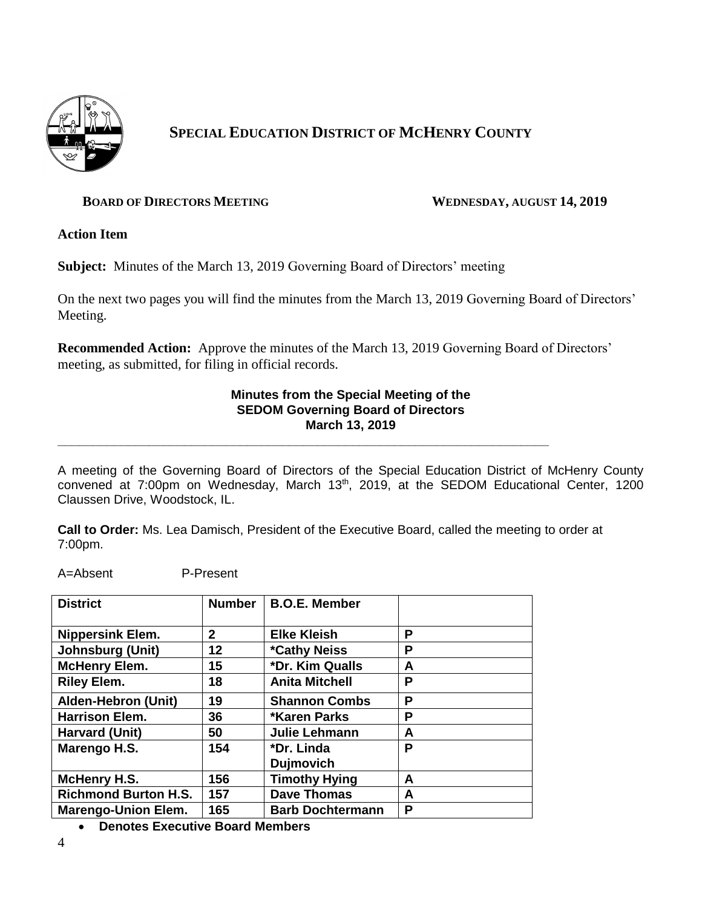

# **SPECIAL EDUCATION DISTRICT OF MCHENRY COUNTY**

#### **BOARD OF DIRECTORS MEETING WEDNESDAY, AUGUST 14, 2019**

**Action Item**

**Subject:** Minutes of the March 13, 2019 Governing Board of Directors' meeting

On the next two pages you will find the minutes from the March 13, 2019 Governing Board of Directors' Meeting.

**Recommended Action:** Approve the minutes of the March 13, 2019 Governing Board of Directors' meeting, as submitted, for filing in official records.

#### **Minutes from the Special Meeting of the SEDOM Governing Board of Directors March 13, 2019**

A meeting of the Governing Board of Directors of the Special Education District of McHenry County convened at 7:00pm on Wednesday, March 13<sup>th</sup>, 2019, at the SEDOM Educational Center, 1200 Claussen Drive, Woodstock, IL.

**Call to Order:** Ms. Lea Damisch, President of the Executive Board, called the meeting to order at 7:00pm.

**\_\_\_\_\_\_\_\_\_\_\_\_\_\_\_\_\_\_\_\_\_\_\_\_\_\_\_\_\_\_\_\_\_\_\_\_\_\_\_\_\_\_\_\_\_\_\_\_\_\_\_\_\_\_\_\_\_\_\_\_\_\_\_\_\_\_\_\_\_\_**

A=Absent P-Present

| <b>District</b>             | <b>Number</b> | <b>B.O.E. Member</b>       |   |
|-----------------------------|---------------|----------------------------|---|
| <b>Nippersink Elem.</b>     | $\mathbf{2}$  | <b>Elke Kleish</b>         | P |
| <b>Johnsburg (Unit)</b>     | 12            | <i><b>*Cathy Neiss</b></i> | P |
| <b>McHenry Elem.</b>        | 15            | *Dr. Kim Qualls            | A |
| <b>Riley Elem.</b>          | 18            | <b>Anita Mitchell</b>      | P |
| <b>Alden-Hebron (Unit)</b>  | 19            | <b>Shannon Combs</b>       | P |
| <b>Harrison Elem.</b>       | 36            | <b>*Karen Parks</b>        | P |
| Harvard (Unit)              | 50            | <b>Julie Lehmann</b>       | A |
| Marengo H.S.                | 154           | *Dr. Linda                 | P |
|                             |               | <b>Dujmovich</b>           |   |
| <b>McHenry H.S.</b>         | 156           | <b>Timothy Hying</b>       | A |
| <b>Richmond Burton H.S.</b> | 157           | <b>Dave Thomas</b>         | A |
| <b>Marengo-Union Elem.</b>  | 165           | <b>Barb Dochtermann</b>    | P |

• **Denotes Executive Board Members**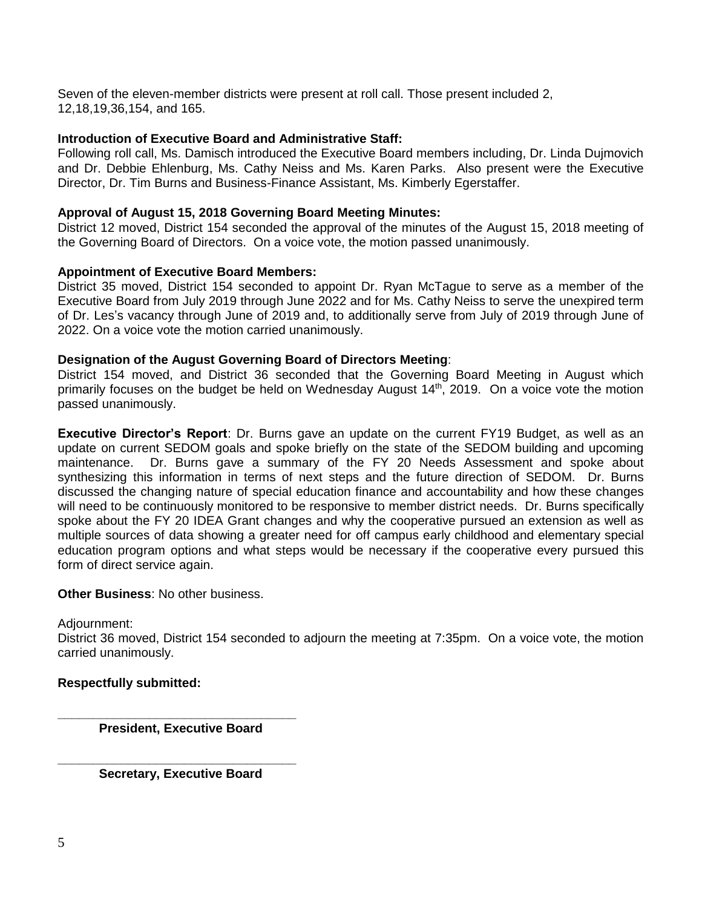Seven of the eleven-member districts were present at roll call. Those present included 2, 12,18,19,36,154, and 165.

#### **Introduction of Executive Board and Administrative Staff:**

Following roll call, Ms. Damisch introduced the Executive Board members including, Dr. Linda Dujmovich and Dr. Debbie Ehlenburg, Ms. Cathy Neiss and Ms. Karen Parks. Also present were the Executive Director, Dr. Tim Burns and Business-Finance Assistant, Ms. Kimberly Egerstaffer.

#### **Approval of August 15, 2018 Governing Board Meeting Minutes:**

District 12 moved, District 154 seconded the approval of the minutes of the August 15, 2018 meeting of the Governing Board of Directors. On a voice vote, the motion passed unanimously.

#### **Appointment of Executive Board Members:**

District 35 moved, District 154 seconded to appoint Dr. Ryan McTague to serve as a member of the Executive Board from July 2019 through June 2022 and for Ms. Cathy Neiss to serve the unexpired term of Dr. Les's vacancy through June of 2019 and, to additionally serve from July of 2019 through June of 2022. On a voice vote the motion carried unanimously.

#### **Designation of the August Governing Board of Directors Meeting**:

District 154 moved, and District 36 seconded that the Governing Board Meeting in August which primarily focuses on the budget be held on Wednesday August 14<sup>th</sup>, 2019. On a voice vote the motion passed unanimously.

**Executive Director's Report**: Dr. Burns gave an update on the current FY19 Budget, as well as an update on current SEDOM goals and spoke briefly on the state of the SEDOM building and upcoming maintenance. Dr. Burns gave a summary of the FY 20 Needs Assessment and spoke about synthesizing this information in terms of next steps and the future direction of SEDOM. Dr. Burns discussed the changing nature of special education finance and accountability and how these changes will need to be continuously monitored to be responsive to member district needs. Dr. Burns specifically spoke about the FY 20 IDEA Grant changes and why the cooperative pursued an extension as well as multiple sources of data showing a greater need for off campus early childhood and elementary special education program options and what steps would be necessary if the cooperative every pursued this form of direct service again.

#### **Other Business**: No other business.

#### Adjournment:

District 36 moved, District 154 seconded to adjourn the meeting at 7:35pm. On a voice vote, the motion carried unanimously.

#### **Respectfully submitted:**

**\_\_\_\_\_\_\_\_\_\_\_\_\_\_\_\_\_\_\_\_\_\_\_\_\_\_\_\_\_\_\_\_\_\_ President, Executive Board**

**\_\_\_\_\_\_\_\_\_\_\_\_\_\_\_\_\_\_\_\_\_\_\_\_\_\_\_\_\_\_\_\_\_\_ Secretary, Executive Board**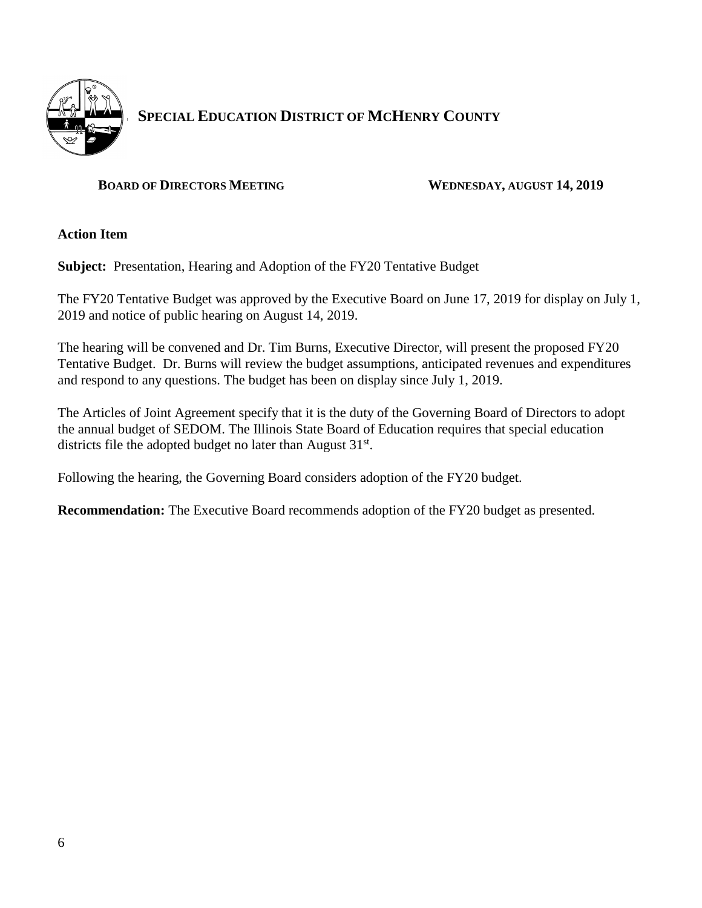

# **SPECIAL E SPECIAL EDUCATION DISTRICT OF MCHENRY COUNTY**

#### **BOARD OF DIRECTORS MEETING WEDNESDAY, AUGUST 14, 2019**

**Action Item**

**Subject:** Presentation, Hearing and Adoption of the FY20 Tentative Budget

The FY20 Tentative Budget was approved by the Executive Board on June 17, 2019 for display on July 1, 2019 and notice of public hearing on August 14, 2019.

The hearing will be convened and Dr. Tim Burns, Executive Director, will present the proposed FY20 Tentative Budget. Dr. Burns will review the budget assumptions, anticipated revenues and expenditures and respond to any questions. The budget has been on display since July 1, 2019.

The Articles of Joint Agreement specify that it is the duty of the Governing Board of Directors to adopt the annual budget of SEDOM. The Illinois State Board of Education requires that special education districts file the adopted budget no later than August  $31^{st}$ .

Following the hearing, the Governing Board considers adoption of the FY20 budget.

**Recommendation:** The Executive Board recommends adoption of the FY20 budget as presented.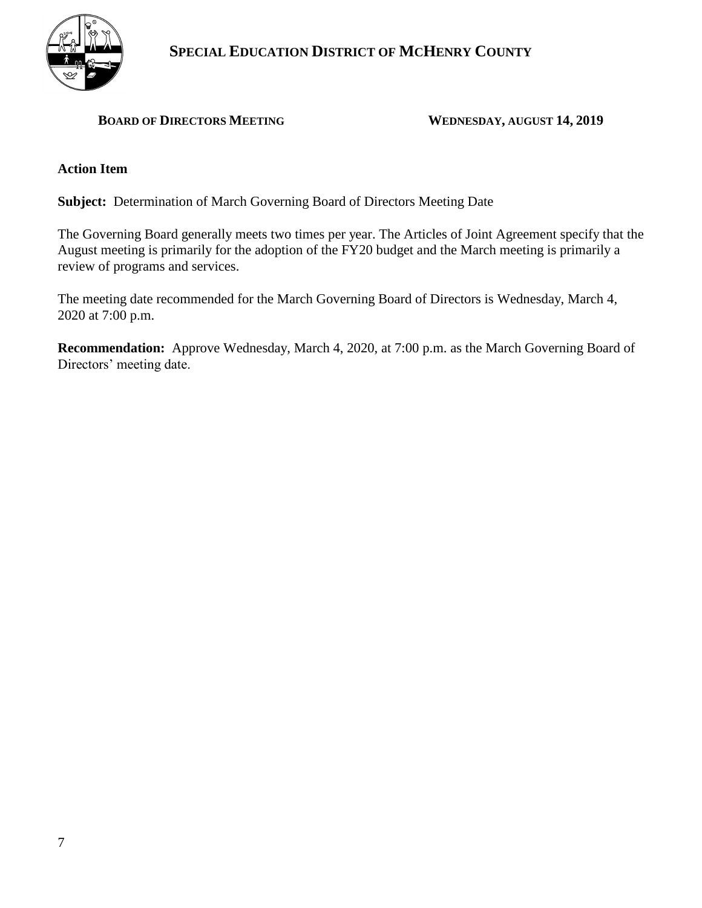

#### **BOARD OF DIRECTORS MEETING WEDNESDAY, AUGUST 14, 2019**

#### **Action Item**

**Subject:** Determination of March Governing Board of Directors Meeting Date

The Governing Board generally meets two times per year. The Articles of Joint Agreement specify that the August meeting is primarily for the adoption of the FY20 budget and the March meeting is primarily a review of programs and services.

The meeting date recommended for the March Governing Board of Directors is Wednesday, March 4, 2020 at 7:00 p.m.

**Recommendation:** Approve Wednesday, March 4, 2020, at 7:00 p.m. as the March Governing Board of Directors' meeting date.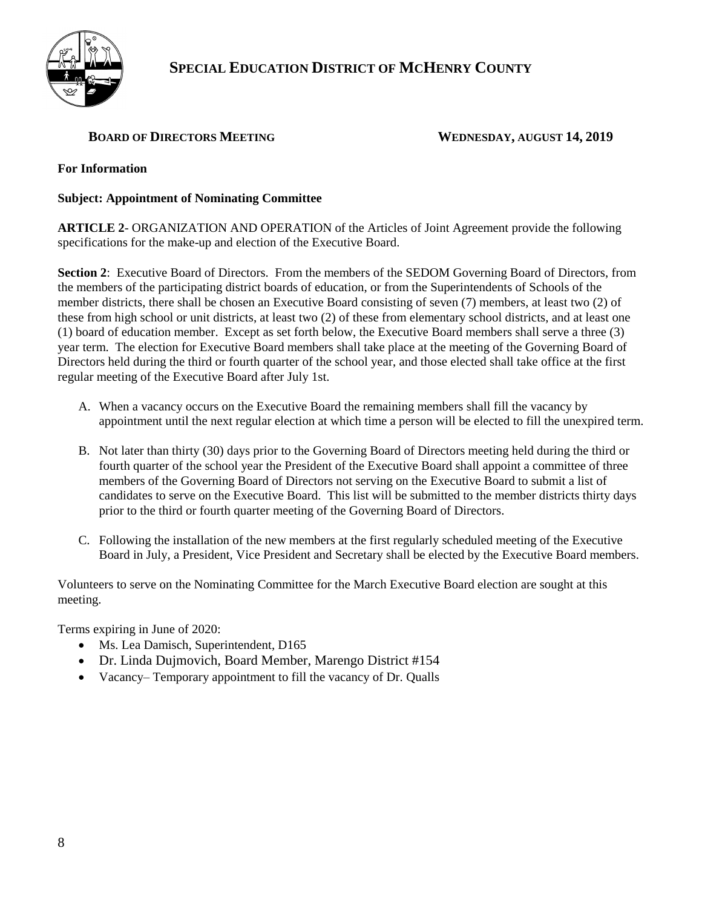

## **SPECIAL EDUCATION DISTRICT OF MCHENRY COUNTY**

#### **BOARD OF DIRECTORS MEETING WEDNESDAY, AUGUST 14, 2019**

#### **For Information**

#### **Subject: Appointment of Nominating Committee**

**ARTICLE 2**- ORGANIZATION AND OPERATION of the Articles of Joint Agreement provide the following specifications for the make-up and election of the Executive Board.

**Section 2**: Executive Board of Directors. From the members of the SEDOM Governing Board of Directors, from the members of the participating district boards of education, or from the Superintendents of Schools of the member districts, there shall be chosen an Executive Board consisting of seven (7) members, at least two (2) of these from high school or unit districts, at least two (2) of these from elementary school districts, and at least one (1) board of education member. Except as set forth below, the Executive Board members shall serve a three (3) year term. The election for Executive Board members shall take place at the meeting of the Governing Board of Directors held during the third or fourth quarter of the school year, and those elected shall take office at the first regular meeting of the Executive Board after July 1st.

- A. When a vacancy occurs on the Executive Board the remaining members shall fill the vacancy by appointment until the next regular election at which time a person will be elected to fill the unexpired term.
- B. Not later than thirty (30) days prior to the Governing Board of Directors meeting held during the third or fourth quarter of the school year the President of the Executive Board shall appoint a committee of three members of the Governing Board of Directors not serving on the Executive Board to submit a list of candidates to serve on the Executive Board. This list will be submitted to the member districts thirty days prior to the third or fourth quarter meeting of the Governing Board of Directors.
- C. Following the installation of the new members at the first regularly scheduled meeting of the Executive Board in July, a President, Vice President and Secretary shall be elected by the Executive Board members.

Volunteers to serve on the Nominating Committee for the March Executive Board election are sought at this meeting.

Terms expiring in June of 2020:

- Ms. Lea Damisch, Superintendent, D165
- Dr. Linda Dujmovich, Board Member, Marengo District #154
- Vacancy– Temporary appointment to fill the vacancy of Dr. Qualls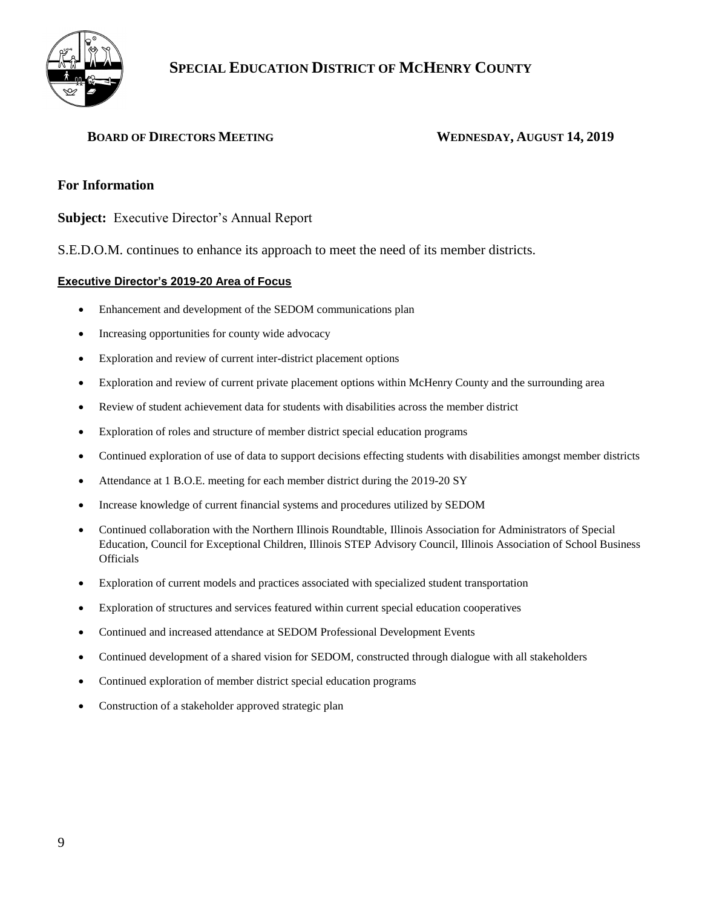

#### **BOARD OF DIRECTORS MEETING WEDNESDAY, AUGUST 14, 2019**

#### **For Information**

**Subject:** Executive Director's Annual Report

S.E.D.O.M. continues to enhance its approach to meet the need of its member districts.

#### **Executive Director's 2019-20 Area of Focus**

- Enhancement and development of the SEDOM communications plan
- Increasing opportunities for county wide advocacy
- Exploration and review of current inter-district placement options
- Exploration and review of current private placement options within McHenry County and the surrounding area
- Review of student achievement data for students with disabilities across the member district
- Exploration of roles and structure of member district special education programs
- Continued exploration of use of data to support decisions effecting students with disabilities amongst member districts
- Attendance at 1 B.O.E. meeting for each member district during the 2019-20 SY
- Increase knowledge of current financial systems and procedures utilized by SEDOM
- Continued collaboration with the Northern Illinois Roundtable, Illinois Association for Administrators of Special Education, Council for Exceptional Children, Illinois STEP Advisory Council, Illinois Association of School Business **Officials**
- Exploration of current models and practices associated with specialized student transportation
- Exploration of structures and services featured within current special education cooperatives
- Continued and increased attendance at SEDOM Professional Development Events
- Continued development of a shared vision for SEDOM, constructed through dialogue with all stakeholders
- Continued exploration of member district special education programs
- Construction of a stakeholder approved strategic plan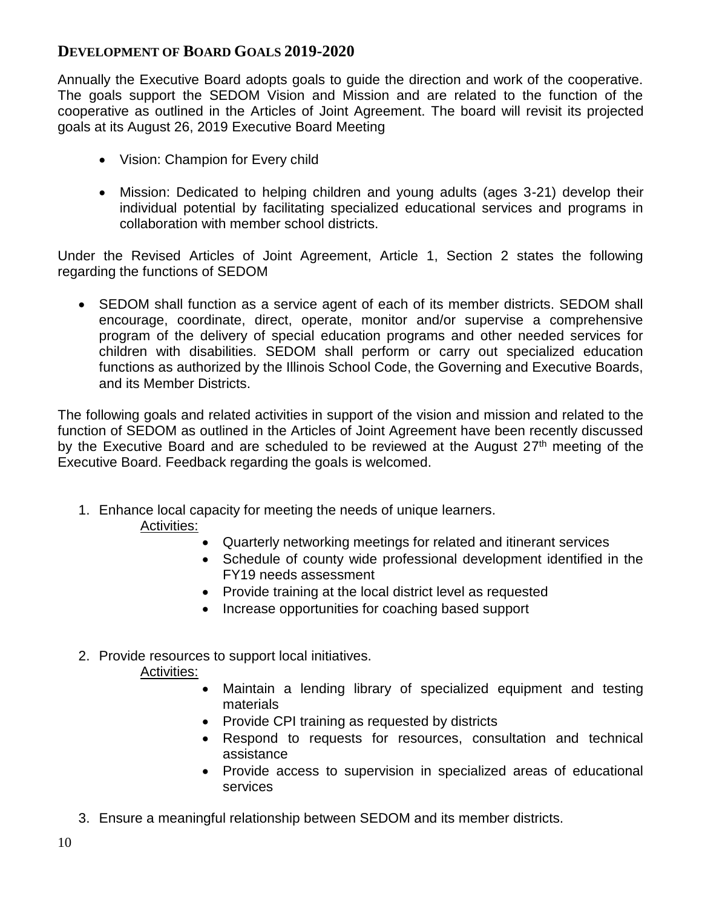# **DEVELOPMENT OF BOARD GOALS 2019-2020**

Annually the Executive Board adopts goals to guide the direction and work of the cooperative. The goals support the SEDOM Vision and Mission and are related to the function of the cooperative as outlined in the Articles of Joint Agreement. The board will revisit its projected goals at its August 26, 2019 Executive Board Meeting

- Vision: Champion for Every child
- Mission: Dedicated to helping children and young adults (ages 3-21) develop their individual potential by facilitating specialized educational services and programs in collaboration with member school districts.

Under the Revised Articles of Joint Agreement, Article 1, Section 2 states the following regarding the functions of SEDOM

• SEDOM shall function as a service agent of each of its member districts. SEDOM shall encourage, coordinate, direct, operate, monitor and/or supervise a comprehensive program of the delivery of special education programs and other needed services for children with disabilities. SEDOM shall perform or carry out specialized education functions as authorized by the Illinois School Code, the Governing and Executive Boards, and its Member Districts.

The following goals and related activities in support of the vision and mission and related to the function of SEDOM as outlined in the Articles of Joint Agreement have been recently discussed by the Executive Board and are scheduled to be reviewed at the August 27<sup>th</sup> meeting of the Executive Board. Feedback regarding the goals is welcomed.

1. Enhance local capacity for meeting the needs of unique learners.

## Activities:

- Quarterly networking meetings for related and itinerant services
- Schedule of county wide professional development identified in the FY19 needs assessment
- Provide training at the local district level as requested
- Increase opportunities for coaching based support

# 2. Provide resources to support local initiatives.

### Activities:

- Maintain a lending library of specialized equipment and testing materials
- Provide CPI training as requested by districts
- Respond to requests for resources, consultation and technical assistance
- Provide access to supervision in specialized areas of educational services
- 3. Ensure a meaningful relationship between SEDOM and its member districts.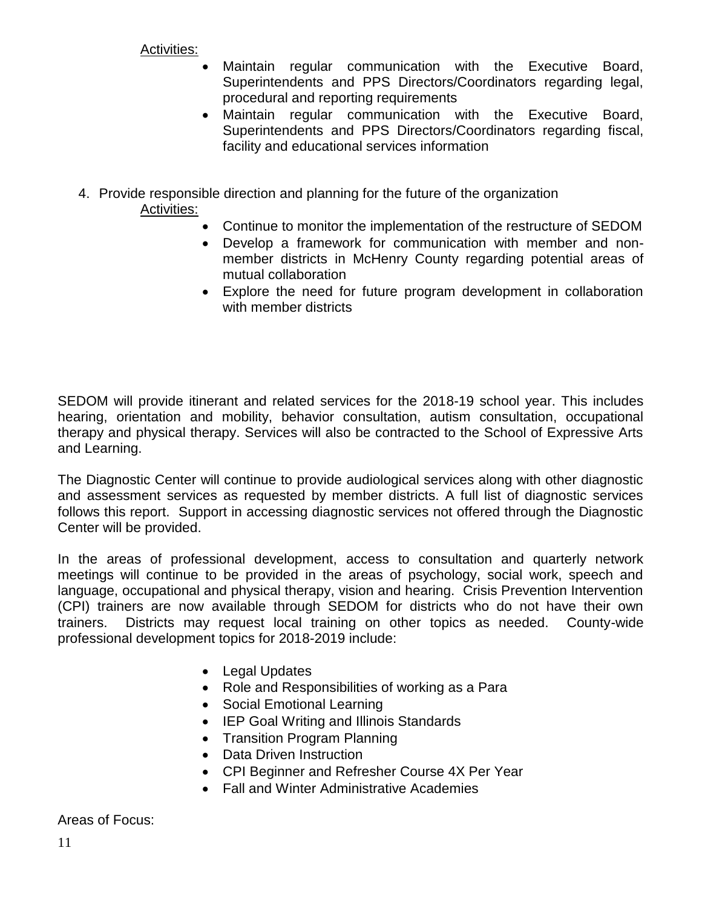Activities:

- Maintain regular communication with the Executive Board, Superintendents and PPS Directors/Coordinators regarding legal, procedural and reporting requirements
- Maintain regular communication with the Executive Board, Superintendents and PPS Directors/Coordinators regarding fiscal, facility and educational services information
- 4. Provide responsible direction and planning for the future of the organization Activities:
	- Continue to monitor the implementation of the restructure of SEDOM
	- Develop a framework for communication with member and nonmember districts in McHenry County regarding potential areas of mutual collaboration
	- Explore the need for future program development in collaboration with member districts

SEDOM will provide itinerant and related services for the 2018-19 school year. This includes hearing, orientation and mobility, behavior consultation, autism consultation, occupational therapy and physical therapy. Services will also be contracted to the School of Expressive Arts and Learning.

The Diagnostic Center will continue to provide audiological services along with other diagnostic and assessment services as requested by member districts. A full list of diagnostic services follows this report. Support in accessing diagnostic services not offered through the Diagnostic Center will be provided.

In the areas of professional development, access to consultation and quarterly network meetings will continue to be provided in the areas of psychology, social work, speech and language, occupational and physical therapy, vision and hearing. Crisis Prevention Intervention (CPI) trainers are now available through SEDOM for districts who do not have their own trainers. Districts may request local training on other topics as needed. County-wide professional development topics for 2018-2019 include:

- Legal Updates
- Role and Responsibilities of working as a Para
- Social Emotional Learning
- IEP Goal Writing and Illinois Standards
- Transition Program Planning
- Data Driven Instruction
- CPI Beginner and Refresher Course 4X Per Year
- Fall and Winter Administrative Academies

Areas of Focus: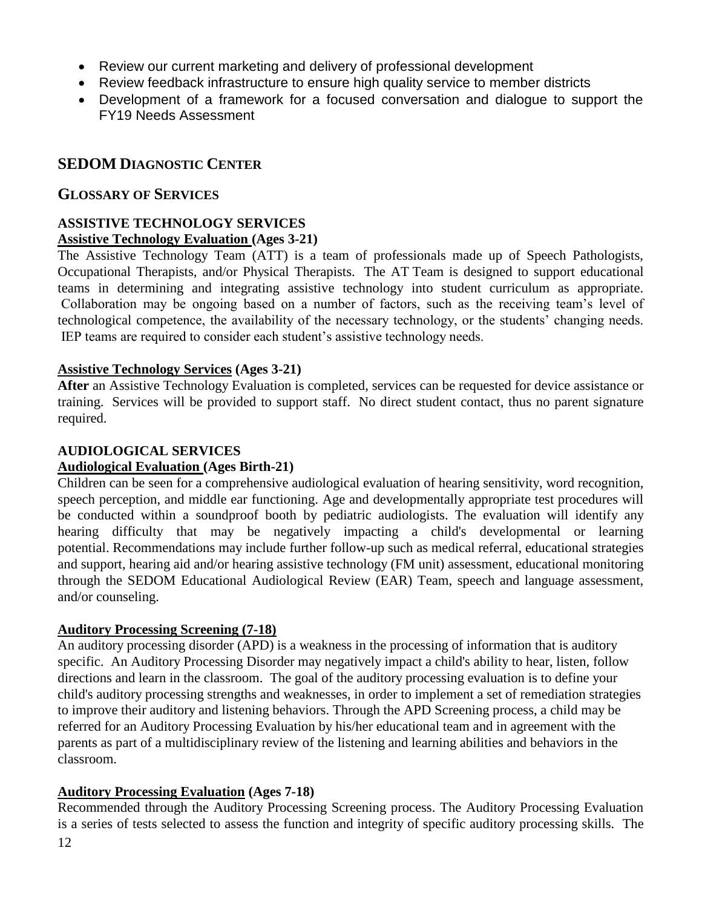- Review our current marketing and delivery of professional development
- Review feedback infrastructure to ensure high quality service to member districts
- Development of a framework for a focused conversation and dialogue to support the FY19 Needs Assessment

### **SEDOM DIAGNOSTIC CENTER**

#### **GLOSSARY OF SERVICES**

#### **ASSISTIVE TECHNOLOGY SERVICES Assistive Technology Evaluation (Ages 3-21)**

The Assistive Technology Team (ATT) is a team of professionals made up of Speech Pathologists, Occupational Therapists, and/or Physical Therapists. The AT Team is designed to support educational teams in determining and integrating assistive technology into student curriculum as appropriate. Collaboration may be ongoing based on a number of factors, such as the receiving team's level of technological competence, the availability of the necessary technology, or the students' changing needs. IEP teams are required to consider each student's assistive technology needs.

#### **Assistive Technology Services (Ages 3-21)**

**After** an Assistive Technology Evaluation is completed, services can be requested for device assistance or training. Services will be provided to support staff. No direct student contact, thus no parent signature required.

### **AUDIOLOGICAL SERVICES**

#### **Audiological Evaluation (Ages Birth-21)**

Children can be seen for a comprehensive audiological evaluation of hearing sensitivity, word recognition, speech perception, and middle ear functioning. Age and developmentally appropriate test procedures will be conducted within a soundproof booth by pediatric audiologists. The evaluation will identify any hearing difficulty that may be negatively impacting a child's developmental or learning potential. Recommendations may include further follow-up such as medical referral, educational strategies and support, hearing aid and/or hearing assistive technology (FM unit) assessment, educational monitoring through the SEDOM Educational Audiological Review (EAR) Team, speech and language assessment, and/or counseling.

#### **Auditory Processing Screening (7-18)**

An auditory processing disorder (APD) is a weakness in the processing of information that is auditory specific. An Auditory Processing Disorder may negatively impact a child's ability to hear, listen, follow directions and learn in the classroom. The goal of the auditory processing evaluation is to define your child's auditory processing strengths and weaknesses, in order to implement a set of remediation strategies to improve their auditory and listening behaviors. Through the APD Screening process, a child may be referred for an Auditory Processing Evaluation by his/her educational team and in agreement with the parents as part of a multidisciplinary review of the listening and learning abilities and behaviors in the classroom.

#### **Auditory Processing Evaluation (Ages 7-18)**

Recommended through the Auditory Processing Screening process. The Auditory Processing Evaluation is a series of tests selected to assess the function and integrity of specific auditory processing skills. The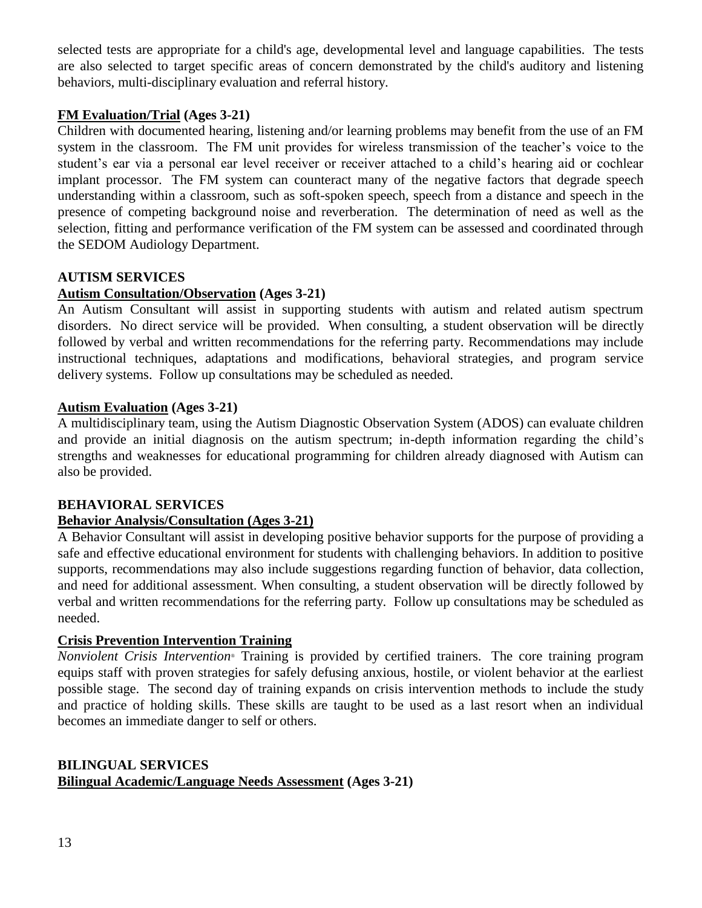selected tests are appropriate for a child's age, developmental level and language capabilities. The tests are also selected to target specific areas of concern demonstrated by the child's auditory and listening behaviors, multi-disciplinary evaluation and referral history.

#### **FM Evaluation/Trial (Ages 3-21)**

Children with documented hearing, listening and/or learning problems may benefit from the use of an FM system in the classroom. The FM unit provides for wireless transmission of the teacher's voice to the student's ear via a personal ear level receiver or receiver attached to a child's hearing aid or cochlear implant processor. The FM system can counteract many of the negative factors that degrade speech understanding within a classroom, such as soft-spoken speech, speech from a distance and speech in the presence of competing background noise and reverberation. The determination of need as well as the selection, fitting and performance verification of the FM system can be assessed and coordinated through the SEDOM Audiology Department.

#### **AUTISM SERVICES**

#### **Autism Consultation/Observation (Ages 3-21)**

An Autism Consultant will assist in supporting students with autism and related autism spectrum disorders. No direct service will be provided. When consulting, a student observation will be directly followed by verbal and written recommendations for the referring party. Recommendations may include instructional techniques, adaptations and modifications, behavioral strategies, and program service delivery systems. Follow up consultations may be scheduled as needed.

#### **Autism Evaluation (Ages 3-21)**

A multidisciplinary team, using the Autism Diagnostic Observation System (ADOS) can evaluate children and provide an initial diagnosis on the autism spectrum; in-depth information regarding the child's strengths and weaknesses for educational programming for children already diagnosed with Autism can also be provided.

#### **BEHAVIORAL SERVICES**

#### **Behavior Analysis/Consultation (Ages 3-21)**

A Behavior Consultant will assist in developing positive behavior supports for the purpose of providing a safe and effective educational environment for students with challenging behaviors. In addition to positive supports, recommendations may also include suggestions regarding function of behavior, data collection, and need for additional assessment. When consulting, a student observation will be directly followed by verbal and written recommendations for the referring party. Follow up consultations may be scheduled as needed.

#### **Crisis Prevention Intervention Training**

*Nonviolent Crisis Intervention*® Training is provided by certified trainers. The core training program equips staff with proven strategies for safely defusing anxious, hostile, or violent behavior at the earliest possible stage. The second day of training expands on crisis intervention methods to include the study and practice of holding skills. These skills are taught to be used as a last resort when an individual becomes an immediate danger to self or others.

#### **BILINGUAL SERVICES Bilingual Academic/Language Needs Assessment (Ages 3-21)**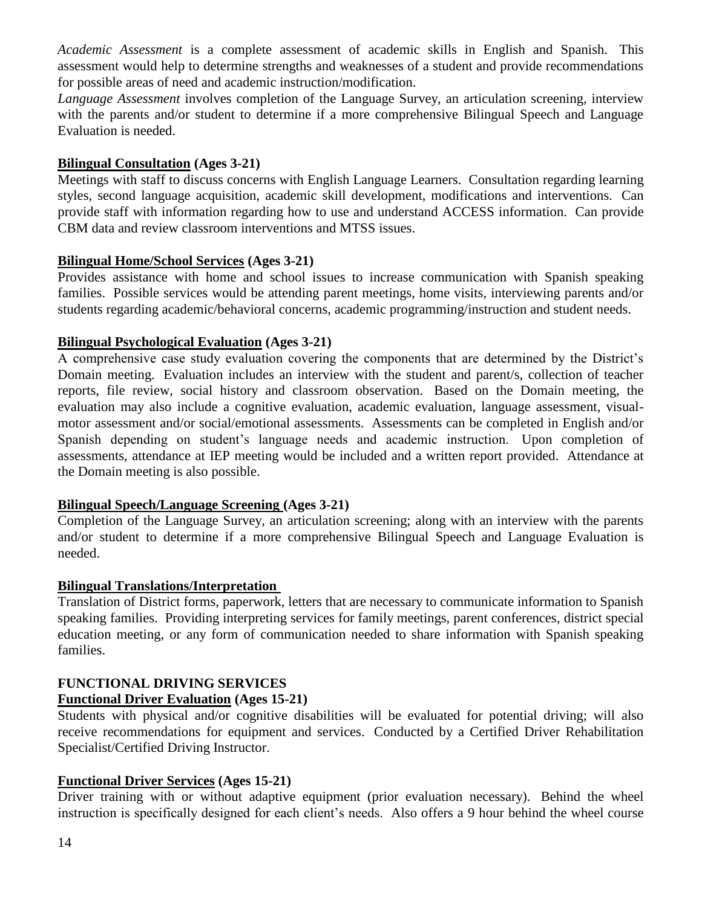*Academic Assessment* is a complete assessment of academic skills in English and Spanish. This assessment would help to determine strengths and weaknesses of a student and provide recommendations for possible areas of need and academic instruction/modification.

*Language Assessment* involves completion of the Language Survey, an articulation screening, interview with the parents and/or student to determine if a more comprehensive Bilingual Speech and Language Evaluation is needed.

#### **Bilingual Consultation (Ages 3-21)**

Meetings with staff to discuss concerns with English Language Learners. Consultation regarding learning styles, second language acquisition, academic skill development, modifications and interventions. Can provide staff with information regarding how to use and understand ACCESS information. Can provide CBM data and review classroom interventions and MTSS issues.

#### **Bilingual Home/School Services (Ages 3-21)**

Provides assistance with home and school issues to increase communication with Spanish speaking families. Possible services would be attending parent meetings, home visits, interviewing parents and/or students regarding academic/behavioral concerns, academic programming/instruction and student needs.

#### **Bilingual Psychological Evaluation (Ages 3-21)**

A comprehensive case study evaluation covering the components that are determined by the District's Domain meeting. Evaluation includes an interview with the student and parent/s, collection of teacher reports, file review, social history and classroom observation. Based on the Domain meeting, the evaluation may also include a cognitive evaluation, academic evaluation, language assessment, visualmotor assessment and/or social/emotional assessments. Assessments can be completed in English and/or Spanish depending on student's language needs and academic instruction. Upon completion of assessments, attendance at IEP meeting would be included and a written report provided. Attendance at the Domain meeting is also possible.

#### **Bilingual Speech/Language Screening (Ages 3-21)**

Completion of the Language Survey, an articulation screening; along with an interview with the parents and/or student to determine if a more comprehensive Bilingual Speech and Language Evaluation is needed.

#### **Bilingual Translations/Interpretation**

Translation of District forms, paperwork, letters that are necessary to communicate information to Spanish speaking families. Providing interpreting services for family meetings, parent conferences, district special education meeting, or any form of communication needed to share information with Spanish speaking families.

### **FUNCTIONAL DRIVING SERVICES**

#### **Functional Driver Evaluation (Ages 15-21)**

Students with physical and/or cognitive disabilities will be evaluated for potential driving; will also receive recommendations for equipment and services. Conducted by a Certified Driver Rehabilitation Specialist/Certified Driving Instructor.

#### **Functional Driver Services (Ages 15-21)**

Driver training with or without adaptive equipment (prior evaluation necessary). Behind the wheel instruction is specifically designed for each client's needs. Also offers a 9 hour behind the wheel course